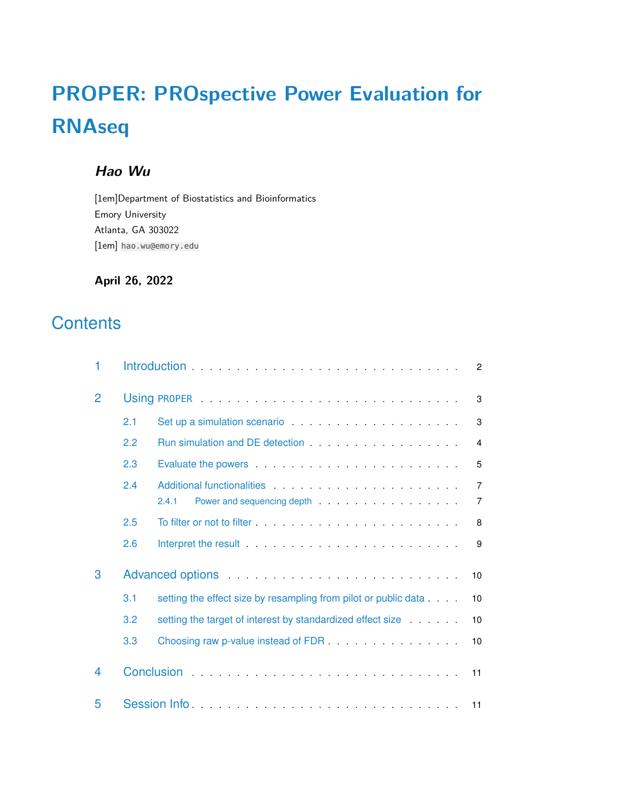# **PROPER: PROspective Power Evaluation for RNAseq**

# **Hao Wu**

[1em]Department of Biostatistics and Bioinformatics Emory University Atlanta, GA 303022 [1em] hao.wu@emory.edu

**April 26, 2022**

# **Contents**

| 1                                                                 |                                                                                                                                                                                                                                     |                                                                                                                                                                                                                                         | $\overline{2}$ |  |  |
|-------------------------------------------------------------------|-------------------------------------------------------------------------------------------------------------------------------------------------------------------------------------------------------------------------------------|-----------------------------------------------------------------------------------------------------------------------------------------------------------------------------------------------------------------------------------------|----------------|--|--|
| $\overline{2}$                                                    |                                                                                                                                                                                                                                     |                                                                                                                                                                                                                                         | 3              |  |  |
|                                                                   | 2.1                                                                                                                                                                                                                                 | Set up a simulation scenario entrance and a set of the set of the set of the set of the set of the set of the set of the set of the set of the set of the set of the set of the set of the set of the set of the set of the se          | 3              |  |  |
|                                                                   | 2.2                                                                                                                                                                                                                                 |                                                                                                                                                                                                                                         | 4              |  |  |
|                                                                   | 2.3                                                                                                                                                                                                                                 | Evaluate the powers entertainment of the state of the state of the state of the state of the state of the state of the state of the state of the state of the state of the state of the state of the state of the state of the          | 5              |  |  |
|                                                                   | 2.4                                                                                                                                                                                                                                 | Additional functionalities expansion of the state of the state of the state of the state of the state of the state of the state of the state of the state of the state of the state of the state of the state of the state of           | $\overline{7}$ |  |  |
|                                                                   |                                                                                                                                                                                                                                     | 2.4.1<br>Power and sequencing depth entitled and sequencing depth and sequencing depth and set of the set of the set of the set of the set of the set of the set of the set of the set of the set of the set of the set of the set of t | 7              |  |  |
|                                                                   | 2.5                                                                                                                                                                                                                                 |                                                                                                                                                                                                                                         | 8              |  |  |
|                                                                   | 2.6                                                                                                                                                                                                                                 | Interpret the result <b>Executed Strutt Automobile Strutt Automobile Strutt Automobile Strutt Automobile Strutt Automobile Strutt Automobile Strutt Automobile Strutt Automobile Strutt Automobile Strutt Automobile Strutt Auto</b>    | 9              |  |  |
| 3                                                                 | Advanced options entertainment and the set of the set of the set of the set of the set of the set of the set of the set of the set of the set of the set of the set of the set of the set of the set of the set of the set of<br>10 |                                                                                                                                                                                                                                         |                |  |  |
|                                                                   | 3.1                                                                                                                                                                                                                                 | setting the effect size by resampling from pilot or public data<br>10                                                                                                                                                                   |                |  |  |
| 3.2<br>setting the target of interest by standardized effect size |                                                                                                                                                                                                                                     |                                                                                                                                                                                                                                         |                |  |  |
|                                                                   | 3.3                                                                                                                                                                                                                                 | Choosing raw p-value instead of FDR.<br>10                                                                                                                                                                                              |                |  |  |
| 4                                                                 |                                                                                                                                                                                                                                     | 11                                                                                                                                                                                                                                      |                |  |  |
| 5                                                                 |                                                                                                                                                                                                                                     |                                                                                                                                                                                                                                         |                |  |  |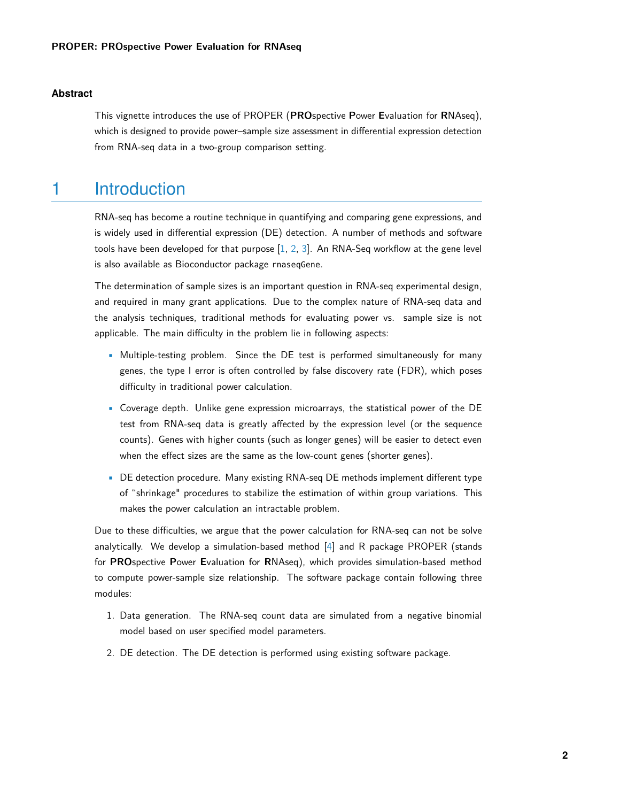#### **Abstract**

<span id="page-1-0"></span>This vignette introduces the use of PROPER (**PRO**spective **P**ower **E**valuation for **R**NAseq), which is designed to provide power–sample size assessment in differential expression detection from RNA-seq data in a two-group comparison setting.

# 1 Introduction

RNA-seq has become a routine technique in quantifying and comparing gene expressions, and is widely used in differential expression (DE) detection. A number of methods and software tools have been developed for that purpose  $[1, 2, 3]$  $[1, 2, 3]$  $[1, 2, 3]$  $[1, 2, 3]$  $[1, 2, 3]$ . An RNA-Seq workflow at the gene level is also available as Bioconductor package rnaseqGene.

The determination of sample sizes is an important question in RNA-seq experimental design, and required in many grant applications. Due to the complex nature of RNA-seq data and the analysis techniques, traditional methods for evaluating power vs. sample size is not applicable. The main difficulty in the problem lie in following aspects:

- Multiple-testing problem. Since the DE test is performed simultaneously for many genes, the type I error is often controlled by false discovery rate (FDR), which poses difficulty in traditional power calculation.
- Coverage depth. Unlike gene expression microarrays, the statistical power of the DE test from RNA-seq data is greatly affected by the expression level (or the sequence counts). Genes with higher counts (such as longer genes) will be easier to detect even when the effect sizes are the same as the low-count genes (shorter genes).
- DE detection procedure. Many existing RNA-seq DE methods implement different type of "shrinkage" procedures to stabilize the estimation of within group variations. This makes the power calculation an intractable problem.

Due to these difficulties, we argue that the power calculation for RNA-seq can not be solve analytically. We develop a simulation-based method [\[4\]](#page-11-3) and R package PROPER (stands for **PRO**spective **P**ower **E**valuation for **R**NAseq), which provides simulation-based method to compute power-sample size relationship. The software package contain following three modules:

- 1. Data generation. The RNA-seq count data are simulated from a negative binomial model based on user specified model parameters.
- 2. DE detection. The DE detection is performed using existing software package.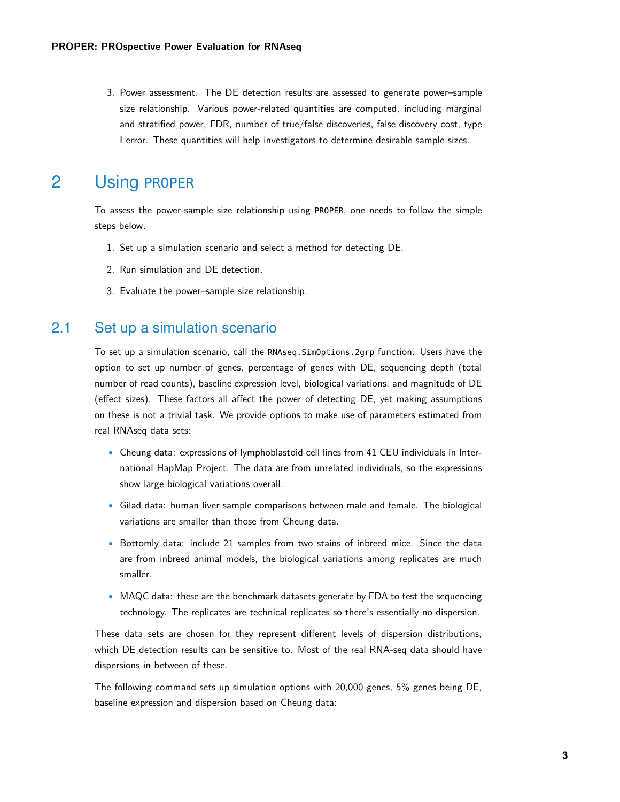3. Power assessment. The DE detection results are assessed to generate power–sample size relationship. Various power-related quantities are computed, including marginal and stratified power, FDR, number of true/false discoveries, false discovery cost, type I error. These quantities will help investigators to determine desirable sample sizes.

# <span id="page-2-0"></span>2 Using PROPER

To assess the power-sample size relationship using PROPER, one needs to follow the simple steps below.

- 1. Set up a simulation scenario and select a method for detecting DE.
- 2. Run simulation and DE detection.
- <span id="page-2-1"></span>3. Evaluate the power–sample size relationship.

### 2.1 Set up a simulation scenario

To set up a simulation scenario, call the RNAseq.SimOptions.2grp function. Users have the option to set up number of genes, percentage of genes with DE, sequencing depth (total number of read counts), baseline expression level, biological variations, and magnitude of DE (effect sizes). These factors all affect the power of detecting DE, yet making assumptions on these is not a trivial task. We provide options to make use of parameters estimated from real RNAseq data sets:

- Cheung data: expressions of lymphoblastoid cell lines from 41 CEU individuals in International HapMap Project. The data are from unrelated individuals, so the expressions show large biological variations overall.
- Gilad data: human liver sample comparisons between male and female. The biological variations are smaller than those from Cheung data.
- Bottomly data: include 21 samples from two stains of inbreed mice. Since the data are from inbreed animal models, the biological variations among replicates are much smaller.
- MAQC data: these are the benchmark datasets generate by FDA to test the sequencing technology. The replicates are technical replicates so there's essentially no dispersion.

These data sets are chosen for they represent different levels of dispersion distributions, which DE detection results can be sensitive to. Most of the real RNA-seq data should have dispersions in between of these.

The following command sets up simulation options with 20,000 genes, 5% genes being DE, baseline expression and dispersion based on Cheung data: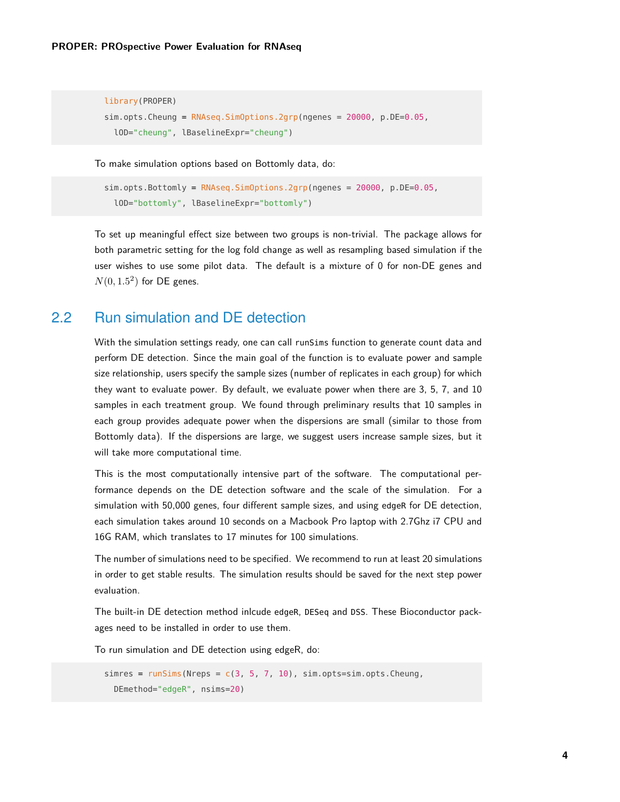```
library(PROPER)
sim.opts.Cheung = RNAseq.SimOptions.2grp(ngenes = 20000, p.DE=0.05,
 lOD="cheung", lBaselineExpr="cheung")
```
To make simulation options based on Bottomly data, do:

```
sim.opts.Bottomly = RNAseq.SimOptions.2grp(ngenes = 20000, p.DE=0.05,
 lOD="bottomly", lBaselineExpr="bottomly")
```
To set up meaningful effect size between two groups is non-trivial. The package allows for both parametric setting for the log fold change as well as resampling based simulation if the user wishes to use some pilot data. The default is a mixture of 0 for non-DE genes and  $N(0, 1.5^2)$  for DE genes.

## <span id="page-3-0"></span>2.2 Run simulation and DE detection

With the simulation settings ready, one can call runSims function to generate count data and perform DE detection. Since the main goal of the function is to evaluate power and sample size relationship, users specify the sample sizes (number of replicates in each group) for which they want to evaluate power. By default, we evaluate power when there are 3, 5, 7, and 10 samples in each treatment group. We found through preliminary results that 10 samples in each group provides adequate power when the dispersions are small (similar to those from Bottomly data). If the dispersions are large, we suggest users increase sample sizes, but it will take more computational time.

This is the most computationally intensive part of the software. The computational performance depends on the DE detection software and the scale of the simulation. For a simulation with 50,000 genes, four different sample sizes, and using edgeR for DE detection, each simulation takes around 10 seconds on a Macbook Pro laptop with 2.7Ghz i7 CPU and 16G RAM, which translates to 17 minutes for 100 simulations.

The number of simulations need to be specified. We recommend to run at least 20 simulations in order to get stable results. The simulation results should be saved for the next step power evaluation.

The built-in DE detection method inlcude edgeR, DESeq and DSS. These Bioconductor packages need to be installed in order to use them.

To run simulation and DE detection using edgeR, do:

<span id="page-3-1"></span>simres =  $runSims(Nreps = c(3, 5, 7, 10)$ , sim.opts=sim.opts.Cheung, DEmethod="edgeR", nsims=20)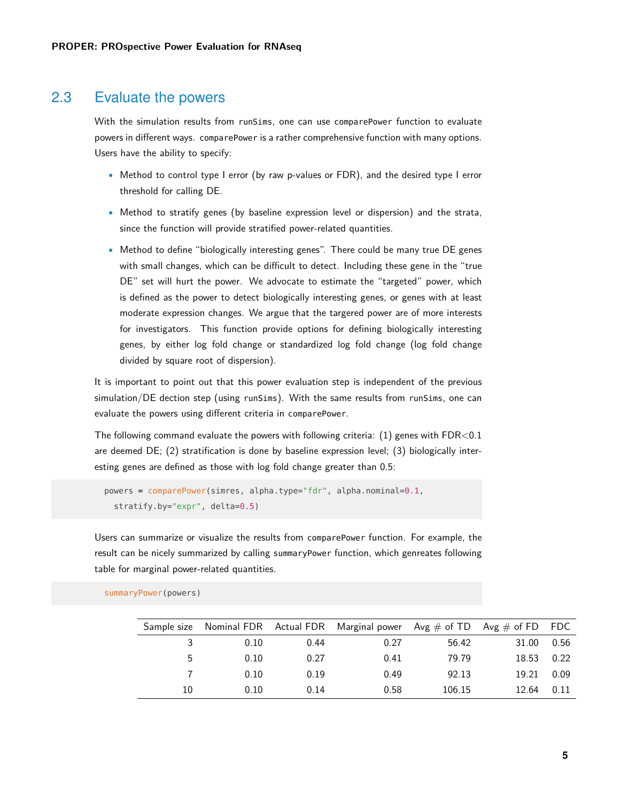### 2.3 Evaluate the powers

With the simulation results from runSims, one can use comparePower function to evaluate powers in different ways. comparePower is a rather comprehensive function with many options. Users have the ability to specify:

- Method to control type I error (by raw p-values or FDR), and the desired type I error threshold for calling DE.
- Method to stratify genes (by baseline expression level or dispersion) and the strata, since the function will provide stratified power-related quantities.
- Method to define "biologically interesting genes". There could be many true DE genes with small changes, which can be difficult to detect. Including these gene in the "true DE" set will hurt the power. We advocate to estimate the "targeted" power, which is defined as the power to detect biologically interesting genes, or genes with at least moderate expression changes. We argue that the targered power are of more interests for investigators. This function provide options for defining biologically interesting genes, by either log fold change or standardized log fold change (log fold change divided by square root of dispersion).

It is important to point out that this power evaluation step is independent of the previous simulation/DE dection step (using runSims). With the same results from runSims, one can evaluate the powers using different criteria in comparePower.

The following command evaluate the powers with following criteria:  $(1)$  genes with  $FDR<0.1$ are deemed DE; (2) stratification is done by baseline expression level; (3) biologically interesting genes are defined as those with log fold change greater than 0.5:

```
powers = comparePower(simres, alpha.type="fdr", alpha.nominal=0.1,
  stratify.by="expr", delta=0.5)
```
Users can summarize or visualize the results from comparePower function. For example, the result can be nicely summarized by calling summaryPower function, which genreates following table for marginal power-related quantities.

|    |      |      | Sample size Nominal FDR Actual FDR Marginal power $Avg \# of TD Avg \# of FD FDC$ |        |       |      |
|----|------|------|-----------------------------------------------------------------------------------|--------|-------|------|
|    | 0.10 | 0.44 | 0.27                                                                              | 56.42  | 31.00 | 0.56 |
| 5  | 0.10 | 0.27 | 0.41                                                                              | 79.79  | 18.53 | 0.22 |
|    | 0.10 | 0.19 | 0.49                                                                              | 92.13  | 19.21 | 0.09 |
| 10 | 0.10 | 0.14 | 0.58                                                                              | 106.15 | 12.64 | 0.11 |

summaryPower(powers)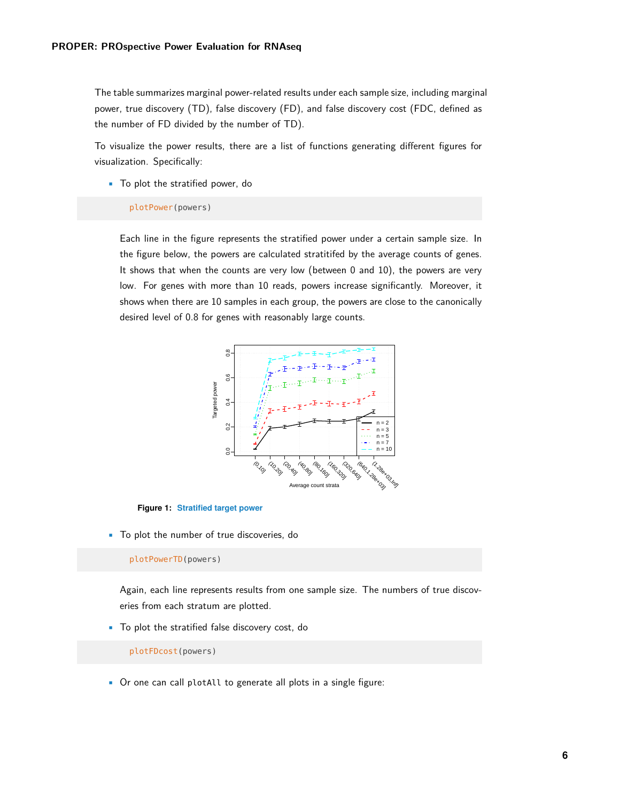The table summarizes marginal power-related results under each sample size, including marginal power, true discovery (TD), false discovery (FD), and false discovery cost (FDC, defined as the number of FD divided by the number of TD).

To visualize the power results, there are a list of functions generating different figures for visualization. Specifically:

• To plot the stratified power, do

#### plotPower(powers)

Each line in the figure represents the stratified power under a certain sample size. In the figure below, the powers are calculated stratitifed by the average counts of genes. It shows that when the counts are very low (between 0 and 10), the powers are very low. For genes with more than 10 reads, powers increase significantly. Moreover, it shows when there are 10 samples in each group, the powers are close to the canonically desired level of 0.8 for genes with reasonably large counts.



**Figure 1: Stratified target power**

• To plot the number of true discoveries, do

plotPowerTD(powers)

Again, each line represents results from one sample size. The numbers of true discoveries from each stratum are plotted.

• To plot the stratified false discovery cost, do

plotFDcost(powers)

• Or one can call plotAll to generate all plots in a single figure: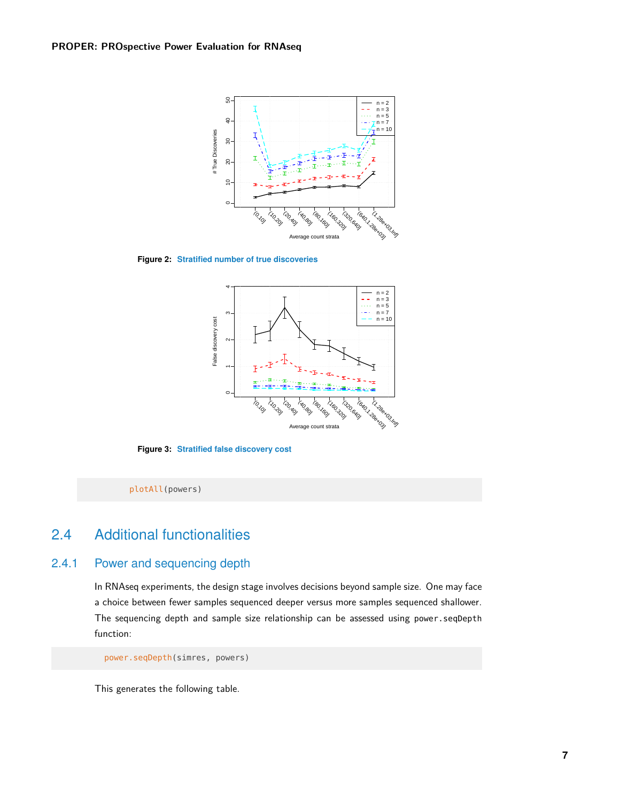

**Figure 2: Stratified number of true discoveries**



**Figure 3: Stratified false discovery cost**

<span id="page-6-0"></span>plotAll(powers)

## 2.4 Additional functionalities

#### 2.4.1 Power and sequencing depth

<span id="page-6-1"></span>In RNAseq experiments, the design stage involves decisions beyond sample size. One may face a choice between fewer samples sequenced deeper versus more samples sequenced shallower. The sequencing depth and sample size relationship can be assessed using power.seqDepth function:

power.seqDepth(simres, powers)

This generates the following table.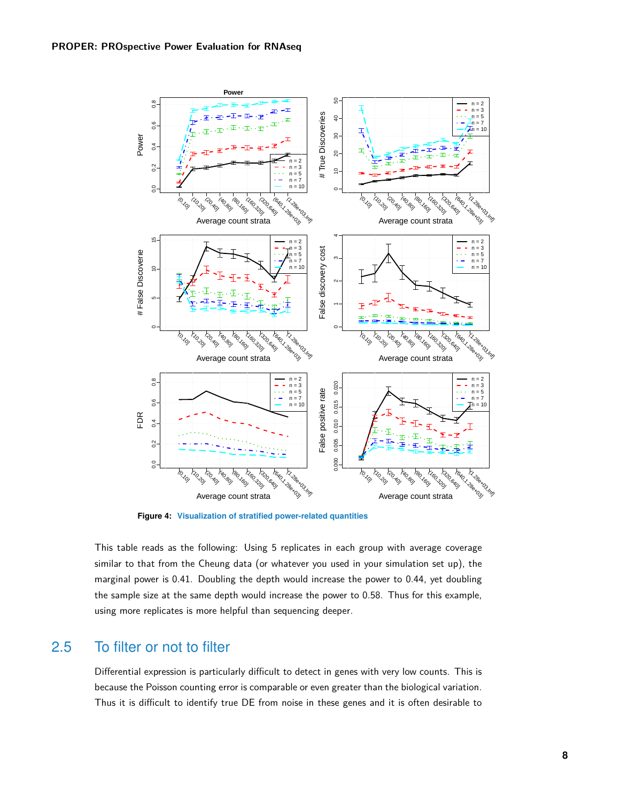

**Figure 4: Visualization of stratified power-related quantities**

This table reads as the following: Using 5 replicates in each group with average coverage similar to that from the Cheung data (or whatever you used in your simulation set up), the marginal power is 0.41. Doubling the depth would increase the power to 0.44, yet doubling the sample size at the same depth would increase the power to 0.58. Thus for this example, using more replicates is more helpful than sequencing deeper.

### <span id="page-7-0"></span>2.5 To filter or not to filter

Differential expression is particularly difficult to detect in genes with very low counts. This is because the Poisson counting error is comparable or even greater than the biological variation. Thus it is difficult to identify true DE from noise in these genes and it is often desirable to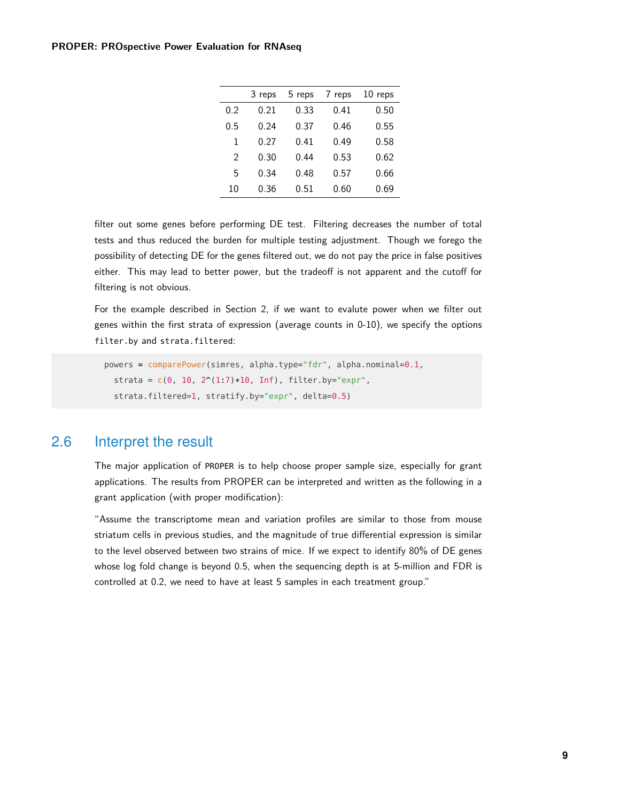|               | 3 reps | 5 reps | 7 reps | 10 reps |
|---------------|--------|--------|--------|---------|
| 0.2           | 0.21   | 0.33   | 0.41   | 0.50    |
| 0.5           | 0.24   | 0.37   | 0.46   | 0.55    |
| 1             | 0.27   | 0.41   | 0.49   | 0.58    |
| $\mathcal{P}$ | 0.30   | 0.44   | 0.53   | 0.62    |
| 5             | 0.34   | 0.48   | 0.57   | 0.66    |
| 10            | 0.36   | 0.51   | 0.60   | 0.69    |
|               |        |        |        |         |

filter out some genes before performing DE test. Filtering decreases the number of total tests and thus reduced the burden for multiple testing adjustment. Though we forego the possibility of detecting DE for the genes filtered out, we do not pay the price in false positives either. This may lead to better power, but the tradeoff is not apparent and the cutoff for filtering is not obvious.

For the example described in Section 2, if we want to evalute power when we filter out genes within the first strata of expression (average counts in 0-10), we specify the options filter.by and strata.filtered:

```
powers = comparePower(simres, alpha.type="fdr", alpha.nominal=0.1,
  strata = c(\theta, 10, 2^(1.7)*10, 10f), filter.by="expr",
  strata.filtered=1, stratify.by="expr", delta=0.5)
```
### 2.6 Interpret the result

The major application of PROPER is to help choose proper sample size, especially for grant applications. The results from PROPER can be interpreted and written as the following in a grant application (with proper modification):

<span id="page-8-1"></span>"Assume the transcriptome mean and variation profiles are similar to those from mouse striatum cells in previous studies, and the magnitude of true differential expression is similar to the level observed between two strains of mice. If we expect to identify 80% of DE genes whose log fold change is beyond 0.5, when the sequencing depth is at 5-million and FDR is controlled at 0.2, we need to have at least 5 samples in each treatment group."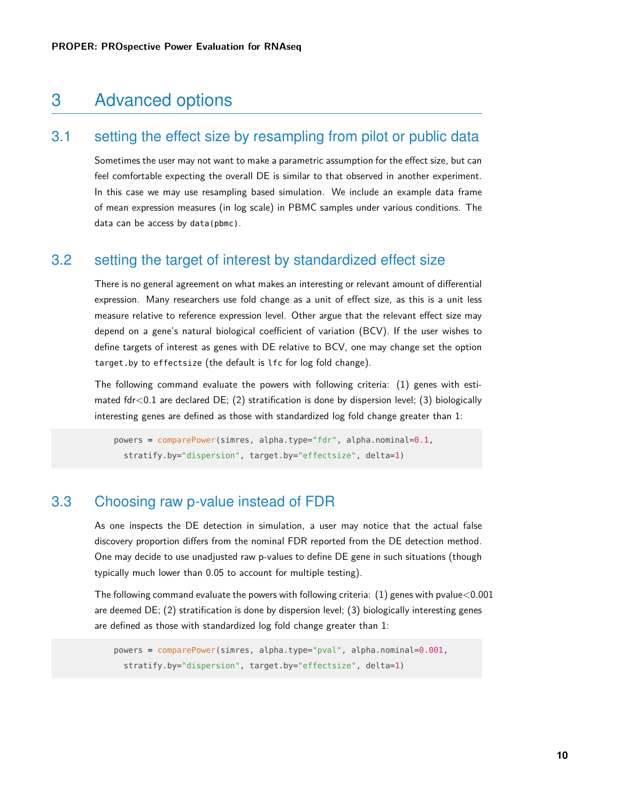# 3 Advanced options

# 3.1 setting the effect size by resampling from pilot or public data

<span id="page-9-0"></span>Sometimes the user may not want to make a parametric assumption for the effect size, but can feel comfortable expecting the overall DE is similar to that observed in another experiment. In this case we may use resampling based simulation. We include an example data frame of mean expression measures (in log scale) in PBMC samples under various conditions. The data can be access by data(pbmc).

### <span id="page-9-1"></span>3.2 setting the target of interest by standardized effect size

There is no general agreement on what makes an interesting or relevant amount of differential expression. Many researchers use fold change as a unit of effect size, as this is a unit less measure relative to reference expression level. Other argue that the relevant effect size may depend on a gene's natural biological coefficient of variation (BCV). If the user wishes to define targets of interest as genes with DE relative to BCV, one may change set the option target.by to effectsize (the default is lfc for log fold change).

The following command evaluate the powers with following criteria: (1) genes with estimated  $fdr < 0.1$  are declared DE; (2) stratification is done by dispersion level; (3) biologically interesting genes are defined as those with standardized log fold change greater than 1:

```
powers = comparePower(simres, alpha.type="fdr", alpha.nominal=0.1,
  stratify.by="dispersion", target.by="effectsize", delta=1)
```
### 3.3 Choosing raw p-value instead of FDR

As one inspects the DE detection in simulation, a user may notice that the actual false discovery proportion differs from the nominal FDR reported from the DE detection method. One may decide to use unadjusted raw p-values to define DE gene in such situations (though typically much lower than 0.05 to account for multiple testing).

The following command evaluate the powers with following criteria:  $(1)$  genes with pvalue $<$ 0.001 are deemed DE; (2) stratification is done by dispersion level; (3) biologically interesting genes are defined as those with standardized log fold change greater than 1:

```
powers = comparePower(simres, alpha.type="pval", alpha.nominal=0.001,
  stratify.by="dispersion", target.by="effectsize", delta=1)
```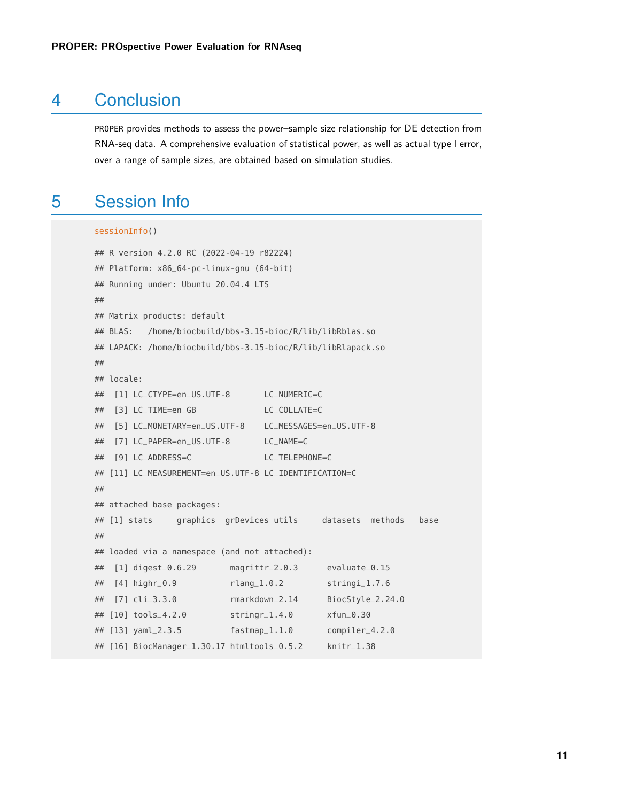# 4 Conclusion

<span id="page-10-0"></span>PROPER provides methods to assess the power–sample size relationship for DE detection from RNA-seq data. A comprehensive evaluation of statistical power, as well as actual type I error, over a range of sample sizes, are obtained based on simulation studies.

# 5 Session Info

```
sessionInfo()
```

```
## R version 4.2.0 RC (2022-04-19 r82224)
## Platform: x86_64-pc-linux-gnu (64-bit)
## Running under: Ubuntu 20.04.4 LTS
##
## Matrix products: default
## BLAS: /home/biocbuild/bbs-3.15-bioc/R/lib/libRblas.so
## LAPACK: /home/biocbuild/bbs-3.15-bioc/R/lib/libRlapack.so
##
## locale:
## [1] LC_CTYPE=en_US.UTF-8 LC_NUMERIC=C
## [3] LC_TIME=en_GB LC_COLLATE=C
## [5] LC_MONETARY=en_US.UTF-8 LC_MESSAGES=en_US.UTF-8
## [7] LC_PAPER=en_US.UTF-8 LC_NAME=C
## [9] LC_ADDRESS=C LC_TELEPHONE=C
## [11] LC_MEASUREMENT=en_US.UTF-8 LC_IDENTIFICATION=C
##
## attached base packages:
## [1] stats graphics grDevices utils datasets methods base
##
## loaded via a namespace (and not attached):
## [1] digest_0.6.29 magrittr_2.0.3 evaluate_0.15
## [4] highr_0.9 rlang_1.0.2 stringi_1.7.6
## [7] cli_3.3.0 rmarkdown_2.14 BiocStyle_2.24.0
## [10] tools_4.2.0 stringr_1.4.0 xfun_0.30
## [13] yaml_2.3.5 fastmap_1.1.0 compiler_4.2.0
## [16] BiocManager_1.30.17 htmltools_0.5.2 knitr_1.38
```